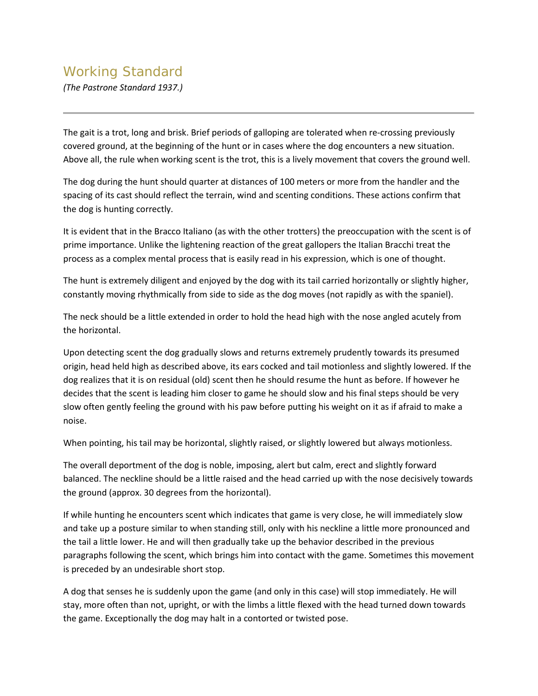## Working Standard

*(The Pastrone Standard 1937.)*

The gait is a trot, long and brisk. Brief periods of galloping are tolerated when re-crossing previously covered ground, at the beginning of the hunt or in cases where the dog encounters a new situation. Above all, the rule when working scent is the trot, this is a lively movement that covers the ground well.

The dog during the hunt should quarter at distances of 100 meters or more from the handler and the spacing of its cast should reflect the terrain, wind and scenting conditions. These actions confirm that the dog is hunting correctly.

It is evident that in the Bracco Italiano (as with the other trotters) the preoccupation with the scent is of prime importance. Unlike the lightening reaction of the great gallopers the Italian Bracchi treat the process as a complex mental process that is easily read in his expression, which is one of thought.

The hunt is extremely diligent and enjoyed by the dog with its tail carried horizontally or slightly higher, constantly moving rhythmically from side to side as the dog moves (not rapidly as with the spaniel).

The neck should be a little extended in order to hold the head high with the nose angled acutely from the horizontal.

Upon detecting scent the dog gradually slows and returns extremely prudently towards its presumed origin, head held high as described above, its ears cocked and tail motionless and slightly lowered. If the dog realizes that it is on residual (old) scent then he should resume the hunt as before. If however he decides that the scent is leading him closer to game he should slow and his final steps should be very slow often gently feeling the ground with his paw before putting his weight on it as if afraid to make a noise.

When pointing, his tail may be horizontal, slightly raised, or slightly lowered but always motionless.

The overall deportment of the dog is noble, imposing, alert but calm, erect and slightly forward balanced. The neckline should be a little raised and the head carried up with the nose decisively towards the ground (approx. 30 degrees from the horizontal).

If while hunting he encounters scent which indicates that game is very close, he will immediately slow and take up a posture similar to when standing still, only with his neckline a little more pronounced and the tail a little lower. He and will then gradually take up the behavior described in the previous paragraphs following the scent, which brings him into contact with the game. Sometimes this movement is preceded by an undesirable short stop.

A dog that senses he is suddenly upon the game (and only in this case) will stop immediately. He will stay, more often than not, upright, or with the limbs a little flexed with the head turned down towards the game. Exceptionally the dog may halt in a contorted or twisted pose.